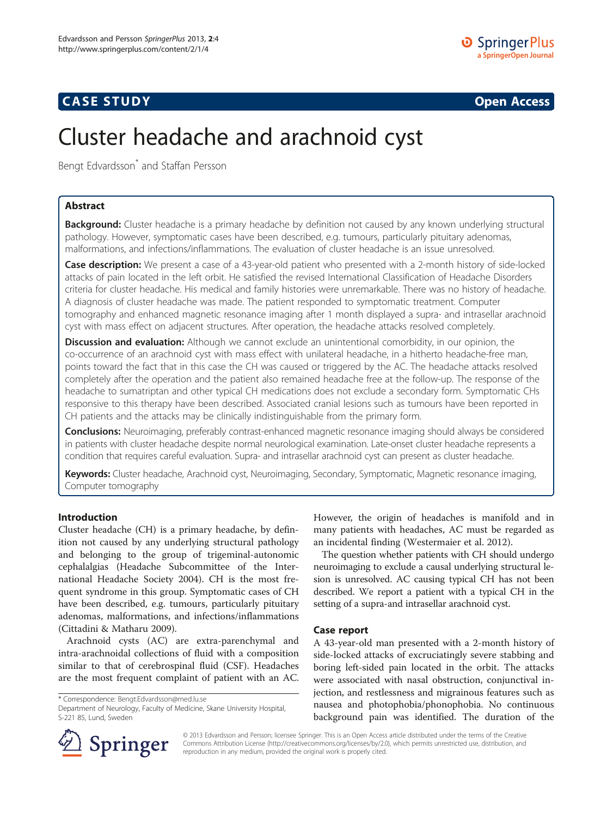# **CASE STUDY CASE STUDY Open Access**

# Cluster headache and arachnoid cyst

Bengt Edvardsson<sup>\*</sup> and Staffan Persson

# Abstract

Background: Cluster headache is a primary headache by definition not caused by any known underlying structural pathology. However, symptomatic cases have been described, e.g. tumours, particularly pituitary adenomas, malformations, and infections/inflammations. The evaluation of cluster headache is an issue unresolved.

Case description: We present a case of a 43-year-old patient who presented with a 2-month history of side-locked attacks of pain located in the left orbit. He satisfied the revised International Classification of Headache Disorders criteria for cluster headache. His medical and family histories were unremarkable. There was no history of headache. A diagnosis of cluster headache was made. The patient responded to symptomatic treatment. Computer tomography and enhanced magnetic resonance imaging after 1 month displayed a supra- and intrasellar arachnoid cyst with mass effect on adjacent structures. After operation, the headache attacks resolved completely.

**Discussion and evaluation:** Although we cannot exclude an unintentional comorbidity, in our opinion, the co-occurrence of an arachnoid cyst with mass effect with unilateral headache, in a hitherto headache-free man, points toward the fact that in this case the CH was caused or triggered by the AC. The headache attacks resolved completely after the operation and the patient also remained headache free at the follow-up. The response of the headache to sumatriptan and other typical CH medications does not exclude a secondary form. Symptomatic CHs responsive to this therapy have been described. Associated cranial lesions such as tumours have been reported in CH patients and the attacks may be clinically indistinguishable from the primary form.

**Conclusions:** Neuroimaging, preferably contrast-enhanced magnetic resonance imaging should always be considered in patients with cluster headache despite normal neurological examination. Late-onset cluster headache represents a condition that requires careful evaluation. Supra- and intrasellar arachnoid cyst can present as cluster headache.

Keywords: Cluster headache, Arachnoid cyst, Neuroimaging, Secondary, Symptomatic, Magnetic resonance imaging, Computer tomography

## Introduction

Cluster headache (CH) is a primary headache, by definition not caused by any underlying structural pathology and belonging to the group of trigeminal-autonomic cephalalgias (Headache Subcommittee of the International Headache Society [2004\)](#page-2-0). CH is the most frequent syndrome in this group. Symptomatic cases of CH have been described, e.g. tumours, particularly pituitary adenomas, malformations, and infections/inflammations (Cittadini & Matharu [2009\)](#page-2-0).

Arachnoid cysts (AC) are extra-parenchymal and intra-arachnoidal collections of fluid with a composition similar to that of cerebrospinal fluid (CSF). Headaches are the most frequent complaint of patient with an AC.

\* Correspondence: [Bengt.Edvardsson@med.lu.se](mailto:Bengt.Edvardsson@med.lu.se)

However, the origin of headaches is manifold and in many patients with headaches, AC must be regarded as an incidental finding (Westermaier et al. [2012](#page-2-0)).

The question whether patients with CH should undergo neuroimaging to exclude a causal underlying structural lesion is unresolved. AC causing typical CH has not been described. We report a patient with a typical CH in the setting of a supra-and intrasellar arachnoid cyst.

### Case report

A 43-year-old man presented with a 2-month history of side-locked attacks of excruciatingly severe stabbing and boring left-sided pain located in the orbit. The attacks were associated with nasal obstruction, conjunctival injection, and restlessness and migrainous features such as nausea and photophobia/phonophobia. No continuous background pain was identified. The duration of the



© 2013 Edvardsson and Persson; licensee Springer. This is an Open Access article distributed under the terms of the Creative Commons Attribution License (<http://creativecommons.org/licenses/by/2.0>), which permits unrestricted use, distribution, and reproduction in any medium, provided the original work is properly cited.

Department of Neurology, Faculty of Medicine, Skane University Hospital, S-221 85, Lund, Sweden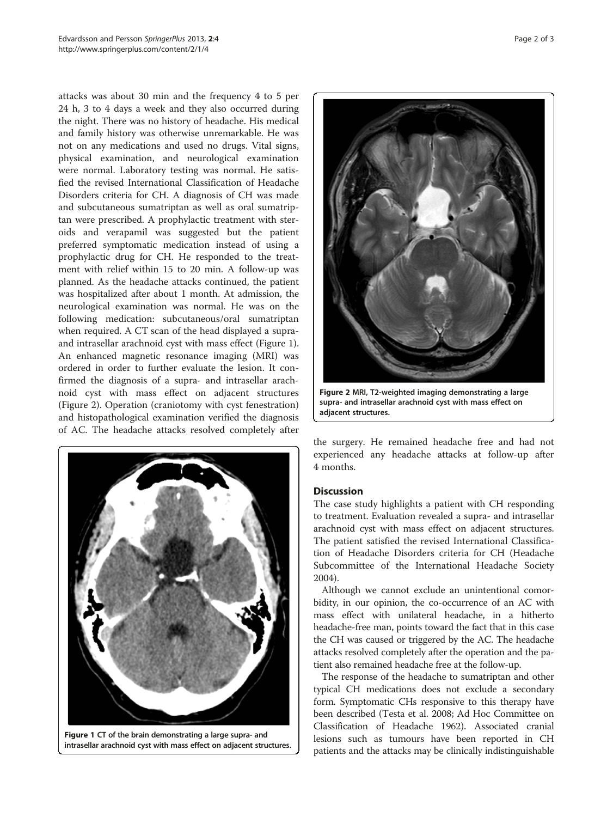attacks was about 30 min and the frequency 4 to 5 per 24 h, 3 to 4 days a week and they also occurred during the night. There was no history of headache. His medical and family history was otherwise unremarkable. He was not on any medications and used no drugs. Vital signs, physical examination, and neurological examination were normal. Laboratory testing was normal. He satisfied the revised International Classification of Headache Disorders criteria for CH. A diagnosis of CH was made and subcutaneous sumatriptan as well as oral sumatriptan were prescribed. A prophylactic treatment with steroids and verapamil was suggested but the patient preferred symptomatic medication instead of using a prophylactic drug for CH. He responded to the treatment with relief within 15 to 20 min. A follow-up was planned. As the headache attacks continued, the patient was hospitalized after about 1 month. At admission, the neurological examination was normal. He was on the following medication: subcutaneous/oral sumatriptan when required. A CT scan of the head displayed a supraand intrasellar arachnoid cyst with mass effect (Figure 1). An enhanced magnetic resonance imaging (MRI) was ordered in order to further evaluate the lesion. It confirmed the diagnosis of a supra- and intrasellar arachnoid cyst with mass effect on adjacent structures (Figure 2). Operation (craniotomy with cyst fenestration) and histopathological examination verified the diagnosis of AC. The headache attacks resolved completely after



Figure 1 CT of the brain demonstrating a large supra- and intrasellar arachnoid cyst with mass effect on adjacent structures.



supra- and intrasellar arachnoid cyst with mass effect on adjacent structures.

the surgery. He remained headache free and had not experienced any headache attacks at follow-up after 4 months.

# Discussion

The case study highlights a patient with CH responding to treatment. Evaluation revealed a supra- and intrasellar arachnoid cyst with mass effect on adjacent structures. The patient satisfied the revised International Classification of Headache Disorders criteria for CH (Headache Subcommittee of the International Headache Society [2004](#page-2-0)).

Although we cannot exclude an unintentional comorbidity, in our opinion, the co-occurrence of an AC with mass effect with unilateral headache, in a hitherto headache-free man, points toward the fact that in this case the CH was caused or triggered by the AC. The headache attacks resolved completely after the operation and the patient also remained headache free at the follow-up.

The response of the headache to sumatriptan and other typical CH medications does not exclude a secondary form. Symptomatic CHs responsive to this therapy have been described (Testa et al. [2008;](#page-2-0) Ad Hoc Committee on Classification of Headache [1962\)](#page-2-0). Associated cranial lesions such as tumours have been reported in CH patients and the attacks may be clinically indistinguishable